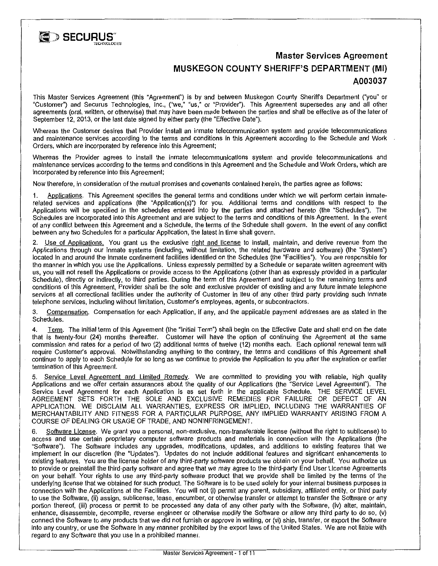

# **Master Services Agreement MUSKEGON COUNTY SHERIFF'S DEPARTMENT (MI) A003037**

This Master Services Agreement (this "Agreement") is by and between Muskegon County Sheriffs Department ("you" or "Customer") and Securus Technologies, Inc., ("we," "us," or "Provider"). This Agreement supersedes any and all other agreements (oral, written, or otherwise) that may have been made between the parties and shall be effective as of the later of September 12, 2013, or the last date signed by either party (the "Effective Date").

Whereas the Customer desires that Provider install an inmate telecommunication system and provide telecommunications and maintenance services according to the terms and conditions in this Agreement according to the Schedule and Work Orders, which are incorporated by reference into this Agreement;

Whereas the Provider agrees to install the inmate telecommunications system and provide telecommunications and maintenance services according to the terms and conditions in this Agreement and the Schedule and Work Orders, which are incorporated by reference into this Agreement;

Now therefore, in consideration of the mutual promises and covenants contained herein, the parties agree as follows:

1. Applications. This Agreement specifies the general terms and conditions under which we will perform certain inmaterelated services and applications (the "Application(s)") for you. Additional terms and conditions with respect to the Applications will be specified in the schedules entered into by the parties and attached hereto (the "Schedules"). The Schedules are incorporated into this Agreement and are subject to the terms and conditions of this Agreement. In the event of any conflict between this Agreement and a Schedule, the terms of the Schedule shall govern. In the event of any conflict between any two Schedules for a particular Application, the latest in time shall govern.

2. Use of Applications. You grant us the exclusive right and license to install, maintain, and derive revenue from the Applications through our inmate systems (including, without limitation, the related hardware and software) (the "System") located in and around the inmate confinement facilities identified on the Schedules (the "Facilities"). You are responsible for the manner in which you use the Applications. Unless expressly pennitted by a Schedule or separate written agreement with us, you will not resell the Applications or provide access to the Applications (other than as expressly provided in a particular Schedule), directly or indirectly, to third parties. During the term of this Agreement and subject to the remaining terms and conditions of this Agreement, Provider shall be the sole and exclusive provider of existing and any future inmate telephone services at all correctional facilities under the authority of Customer in lieu of any other third party providing such inmate telephone services, including without limitation, Customer's employees, agents, or subcontractors.

3. Compensation. Compensation for each Application, if any, and the applicable payment addresses are as stated in the Schedules.

4. Term. The initial term of this Agreement (the "Initial Term") shall begin on the Effective Date and shall end on the date that is twenty-four (24) months thereafter. Customer will have the option of continuing the Agreement at the same commission and rates for a period of two (2) additional terms of twelve (12) months each. Each optional renewal term will require Customer's approval. Notwithstanding anything to the contrary, the terms and conditions of this Agreement shall continue to apply to each Schedule for so long as we continue to provide the Application to you after the expiration or earlier termination of this Agreement.

Service Level Agreement and Limited Remedy. We are committed to providing you with reliable, high quality Applications and we offer certain assurances about the quality of our Applications (the "Service Level Agreement"). The Service Level Agreement for each Application is as set forth in the applicable Schedule. THE SERVICE LEVEL AGREEMENT SETS FORTH THE SOLE AND EXCLUSIVE REMEDIES FOR FAILURE OR DEFECT OF AN APPLICATION. WE DISCLAIM ALL WARRANTIES, EXPRESS OR IMPLIED, INCLUDING THE WARRANTIES OF MERCHANTABILITY AND FITNESS FOR A PARTICULAR PURPOSE, ANY IMPLIED WARRANTY ARISING FROM A COURSE OF DEALING OR USAGE OF TRADE, AND NONINFRINGEMENT.

6. Software License. We grant you a personal, non-exclusive, non-transferable license (without the right to sublicense) to access and use certain proprietary computer software products and materials in connection with the Applications (the "Software"). The Software includes any upgrades, modifications, updates, and additions to existing features that we implement in our discretion (the "Updates"). Updates do not include additional features and significant enhancements to existing features. You are the license holder of any third-party software products we obtain on your behalf. You authorize us to provide or preinstall the third-party software and agree that we may agree to the third-party End User License Agreements on your behalf. Your rights to use any third-party software product that we provide shall be limited by the terms of the underlying license that we obtained for such product. The Software is to be used solely for your internal business purposes in connection with the Applications at the Facilities. You will not (i) permit any parent, subsidiary, affiliated entity, or third party to use the Software, (ii) assign, sublicense, lease, encumber, or otherwise transfer or attempt to transfer the Software or any portion thereof, (iii) process or permit to be processed any data of any other party with the Software, (iv) alter, maintain, enhance, disassemble, decompile, reverse engineer or otherwise modify the Software or allow any third party to do so, (v) connect the Software to any products that we did not furnish or approve in writing, or (vi) ship, transfer, or export the Software into any country, or use the Software in any manner prohibited by the export laws of the United States. We are not liable with regard to any Software that you use in a prohibited manner.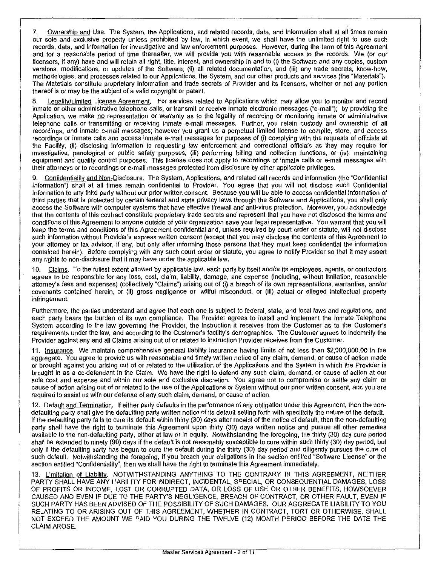7. Ownership and Use. The System, the Applications, and related records, data, and information shall at all times remain our sole and exclusive property unless prohibited by law, in which event, we shall have the unlimited right to use such records, data, and information for investigative and law enforcement purposes. However, during lhe term of this Agreement and for a reasonable period of time thereafter, we will provide you with reasonable access to the records. We (or our licensors, if any) have and will retain all right, title, interest, and ownership in and to (i) the Software and any copies, custom versions, modifications, or updates of the Software, (ii) all related documentation, and (iii) any trade secrets, know-how, methodologies, and processes related to our Applications, the System, and our other products and services (the "Materials"). The Materials constitute proprietary information and trade secrets of Provider and its licensors, whether or not any portion thereof is or may be the subject of a valid copyright or patent.

8. Legality/Limited License Agreement. For services related to Applications which may allow you to monitor and record inmate or other administrative telephone calls, or transmit or receive inmate electronic messages ("e-mail"); by providing the Application, we make no representation or warranty as to the legality of recording or monitoring inmate or administrative telephone calls or transmitling or receiving inmate e-mail messages. Further, you retain custody and ownership of all recordings, and inmate e-mail messages; however you grant us a perpetual limited license to compile, store, and access recordings or inmate calls and access inmate e-mail messages for purposes of (i) complying with the requests of officials at the Facility, (ii) disclosing information to requesting law enforcement and correctional officials as they may require for investigative, penological or public safety purposes, (iii) performing billing and collection functions, or (iv) maintaining equipment and quality control purposes. This license does not apply to recordings of inmate calls or e-mail messages with their attorneys or to recordings or e-mail messages protected from disclosure by other applicable privileges.

9. Confidentiality and Non-Disclosure. The System, Applications, and related call records and information (the "Confidential Information") shall at all times remain confidential to Provider. You agree that you will not disclose such Confidential Information to any third party without our prior written consent. Because you will be able to access confidential information of third parties that is protected by certain federal and state privacy laws through the Software and Applications, you shall only access the Software with computer systems thai have effective firewall and anti-virus protection. Moreover, you acknowledge that the contents of this contract constitute proprietary trade secrets and represent that you have not disclosed the terms and conditions of this Agreement to anyone outside of your organization save your legal representative. You warrant that you will keep the terms and conditions of this Agreement confidential and, unless required by court order or statute, will not disclose such information without Provider's express written consent (except that you may disclose the contents of this Agreement to your attorney or tax advisor, if any, but only after informing those persons that they must keep confidential the information contained herein). Before complying with any such court order or statute, you agree to notify Provider so that it may assert any rights to non-disclosure that it may have under the applicable law.

10. Claims. To the fullest extent allowed by applicable law, each party by itself and/or its employees, agents, or contractors agrees to be responsible for any loss, cost, claim, liability, damage, and expense (including, without limitation, reasonable attorney's fees and expenses) (collectively "Claims") arising out of (i) a breach of its own representations, warranties, and/or covenants contained herein, or (ii) gross negligence or willful misconduct, or (iii) actual or alleged intellectual property infringement.

Furthermore, the parties understand and agree that each one is subject to federal, state, and local laws and regulations, and each party bears the burden of its own compliance. The Provider agrees to install and implement the Inmate Telephone System according to the law governing the Provider, the instruction it receives from the Customer as to the Customer's requirements under the law, and according to the Customer's facility's demographics. The Customer agrees to indemnify the Provider against any and all Claims arising out of or related to instruction Provider receives from the Customer.

11. Insurance. We maintain comprehensive general liability insurance having limits of not less than \$2,000,000.00 in the aggregate. You agree to provide us with reasonable and timely written notice of any claim, demand, or cause of action made or brought against you arising out of or related to the utilization of the Applications and the System in which the Provider is brought in as a co-defendant in the Claim. We have the right to defend any such claim, demand, or cause of action at our sole cost and expense and within our sole and exclusive discretion. You agree not to compromise or settle any claim or cause of action arising out of or related to the use of the Applications or System without our prior written consent, and you are required to assist us with our defense of any such claim, demand, or cause of action.

12. Default and Termination. If either party defaults in the performance of any obligation under this Agreement, then the nondefaulting party shall give the defaulting party written notice of its default setting forth with specificity the nature of the default. If the defaulting party fails to cure its default within thirty (30) days after receipt of the notice of default, then the non-defaulting party shall have the right to terminate this Agreement upon thirty (30) days written notice and pursue all other remedies available to the non-defaulting party, either at law or in equity. Notwithstanding the foregoing, the thirty (30) day cure period shall be extended to ninety (90) days if the default is not reasonably susceptible to cure within such thirty (30) day period, but only if the defaulting party has begun to cure the default during the thirty (30) day period and diligently pursues the cure of such default. Notwithstanding the foregoing, if you breach your obligations in the section entitled "Software License" or the section entitled "Confidentiality'', then we shall have the right to terminate this Agreement immediately.

13. Limitation of Liability. NOTWITHSTANDING ANYTHING TO THE CONTRARY IN THIS AGREEMENT, NEITHER PARTY SHALL HAVE ANY LIABILITY FOR INDIRECT, INCIDENTAL, SPECIAL, OR CONSEQUENTIAL DAMAGES, LOSS OF PROFITS OR INCOME, LOST OR CORRUPTED DATA, OR LOSS OF USE OR OTHER BENEFITS, HOWSOEVER CAUSED AND EVEN IF DUE TO THE PARTY'S NEGLIGENCE, BREACH OF CONTRACT, OR OTHER FAULT, EVEN IF SUCH PARTY HAS BEEN ADVISED OF THE POSSIBILITY OF SUCH DAMAGES. OUR AGGREGATE LIABILITY TO YOU RELATING TO OR ARISING OUT OF THIS AGREEMENT, WHETHER IN CONTRACT, TORT OR OTHERWISE, SHALL NOT EXCEED THE AMOUNT WE PAID YOU DURING THE TWELVE (12) MONTH PERIOD BEFORE THE DATE THE CLAIM AROSE.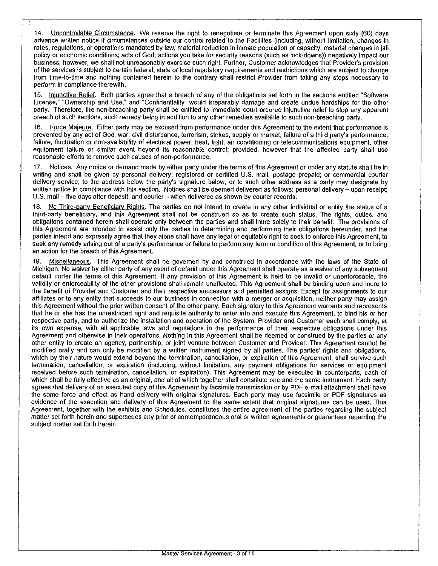14. Uncontrollable Circumstance. We reserve the right to renegotiate or terminate this Agreement upon sixty (60) days advance written notice if circumstances outside our control related to the Facilities (including, without limitation, changes in rates, regulations, or operations mandated by law; material reduction in inmate population or capacity; material changes in jail policy or economic conditions; acts of God; actions you take for security reasons (such as lock-downs)) negatively impact our business; however, we shall not unreasonably exercise such right. Further, Customer acknowledges that Provider's provision of the services is subject to certain federal, state or local regulatory requirements and restrictions which are subject to change from time-to-time and nothing contained herein to the contrary shall restrict Provider from taking any steps necessary to perform in compliance therewith.

15. Injunctive Relief. Both parties agree that a breach of any of the obligations set forth in the sections entitled "Software License," "Ownership and Use," and "Confidentiality" would irreparably damage and create undue hardships for the other party. Therefore, the non-breaching party shall be entitled to immediate court ordered injunctive relief to stop any apparent breach of such sections, such remedy being in addition to any other remedies available to such non-breaching party.

16. Force Majeure. Either party may be excused from performance under this Agreement to the extent that performance is prevented by any act of God, war, civil disturbance, terrorism, strikes, supply or market, failure of a third party's performance, failure, fluctuation or non-availability of electrical power, heat, light, air conditioning or telecommunications equipment, other equipment failure or similar event beyond its reasonable control; provided, however that the affected party shall use reasonable efforts to remove such causes of non-performance.

17. Notices. Any notice or demand made by either party under the terms of this Agreement or under any statute shall be in writing and shall be given by personal delivery; registered or certified U.S. mail, postage prepaid; or commercial courier delivery service, to the address below the party's signature below, or to such other address as a party may designate by written notice in compliance with this section. Notices shall be deemed delivered as follows: personal delivery - upon receipt; U.S. mail - five days after deposit; and courier - when delivered as shown by courier records.

18. No Third-party Beneficiary Rights. The parties do not intend to create in any other individual or entity the status of a third-party beneficiary, and this Agreement shall not be ccnstrued so as to create such status. The rights, duties, and obligations contained herein shall operate only between the parties and shall inure solely to their benefit. The provisions of this Agreement are intended to assist only the parties in determining and performing their obligations hereunder, and the parties intend and expressly agree that they alone shall have any legal or equitable right to seek to enforce this Agreement, to seek any remedy arising out of a party's performance or failure to perform any term or condition of this Agreement, or to bring an action for the breach of this Agreement.

19. Miscellaneous. This Agreement shall be governed by and construed in accordance with the laws of the State of Michigan. No waiver by either party of any event of default under this Agreement shall operate as a waiver of any subsequent default under the terms of this Agreement. If any provision of this Agreement is held to be invalid or unenforceable, the validity or enforceability of the other provisions shall remain unaffected. This Agreement shall be binding upon and inure to the benefit of Provider and Customer and their respective successors and permitted assigns. Except for assignments to our affiliates or to any entity that succeeds to our business in connection with a merger or acquisition, neither party may assign this Agreement without the prior written consent of the other party. Each signatory to this Agreement warrants and represents that he or she has the unrestricted right and requisite authority to enter into and execute this Agreement, to bind his or her respective party, and to authorize the installation and operation of the System. Provider and Customer each shall comply, at its own expense, with all applicable laws and regulations in the performance of their respective obligations under this Agreement and otherwise in their operations. Nothing in this Agreement shall be deemed or construed by the parties or any other entity to create an agency, partnership, or joint venture between Customer and Provider. This Agreement cannot be modified orally and can only be modified by a written instrument signed by all parties. The parties' rights and obligations, which by their nature would extend beyond the termination, cancellation, or expiration of this Agreement, shall survive such termination, cancellation, or expiration (including, without limitation, any payment obligations for services or equipment received before such termination, cancellation, or expiration). This Agreement may be executed in ccunterparts, each of which shall be fully effective as an original, and all of which together shall constitute one and the same instrument. Each party agrees that delivery of an executed copy of this Agreement by facsimile transmission or by PDF e-mail attachment shall have the same force and effect as hand delivery with original signatures. Each party may use facsimile or PDF signatures as evidence of the execution and delivery of this Agreement to the same extent that original signatures can be used. This Agreement, together with the exhibits and Schedules, constitutes the entire agreement of the parties regarding the subject matter set forth herein and supersedes any prior or contemporaneous oral or written agreements or guarantees regarding the subject matter set forth herein.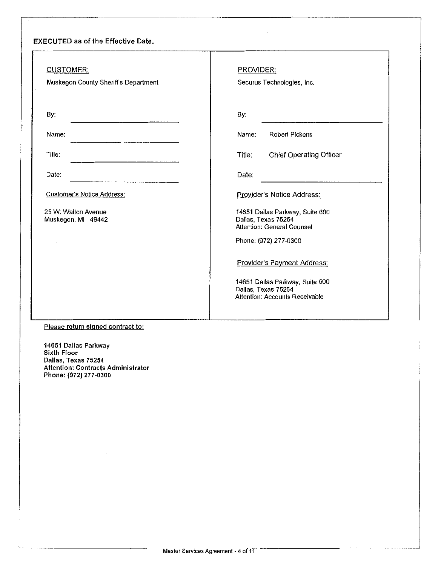# EXECUTED as of the Effective Date.

| CUSTOMER:<br>Muskegon County Sheriff's Department | PROVIDER:<br>Securus Technologies, Inc.                                                         |
|---------------------------------------------------|-------------------------------------------------------------------------------------------------|
| By:                                               | By:                                                                                             |
| Name:                                             | <b>Robert Pickens</b><br>Name:                                                                  |
| Title:                                            | Chief Operating Officer<br>Title:                                                               |
| Date:                                             | Date:                                                                                           |
| <b>Customer's Notice Address:</b>                 | Provider's Notice Address:                                                                      |
| 25 W. Walton Avenue<br>Muskegon, MI 49442         | 14651 Dallas Parkway, Suite 600<br>Dallas, Texas 75254<br>Attention: General Counsel            |
|                                                   | Phone: (972) 277-0300                                                                           |
|                                                   | Provider's Payment Address:                                                                     |
|                                                   | 14651 Dallas Parkway, Suite 600<br>Dallas, Texas 75254<br><b>Attention: Accounts Receivable</b> |
|                                                   |                                                                                                 |

# Please return signed contract to:

14651 Dallas Parkway Sixth Floor Dallas, Texas 75254 Attention: Contracts Administrator Phone: {972) 277-0300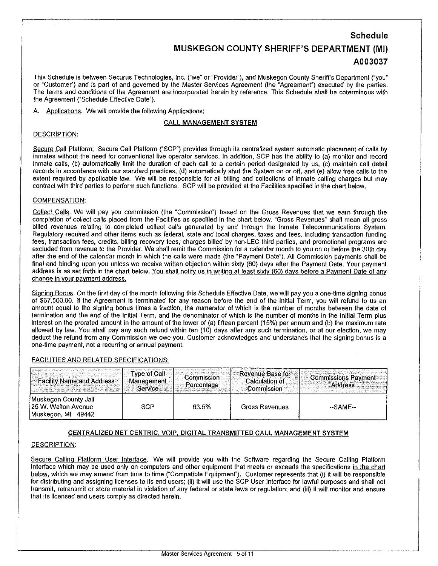# **Schedule MUSKEGON COUNTY SHERIFF'S DEPARTMENT (MI) A003037**

This Schedule is between Securus Technologies, Inc. ("we" or "Provider"), and Muskegon County Sheriffs Department ("you" or "Customer") and is part of and governed by the Master Services Agreement (the "Agreement") executed by the parties. The terms and conditions of the Agreement are incorporated herein by reference. This Schedule shall be coterminous with the Agreement ("Schedule Effective Date").

A. Applications. We will provide the following Applications:

## CALL MANAGEMENT SYSTEM

### DESCRIPTION:

Secure Call Platform: Secure Call Platform ("SCP") provides through its centralized system automatic placement of calls by inmates without the need for conventional live operator services. In addition, SCP has the ability to (a) monitor and record inmate calls, (b) automatically limit the duration of each call to a certain period designated by us, (c) maintain call detail records in accordance with our standard practices, (d) automatically shut the System on or off, and (e) allow free calls to the extent required by applicable law. We will be responsible for all billing and collections of inmate calling charges but may contract with third parties to perform such functions. SCP will be provided at the Facilities specified in the chart below.

#### COMPENSATION:

Collect Calls. We will pay you commission (the "Commission") based on the Gross Revenues that we earn through the completion of collect calls placed from the Facilities as specified in the chart below. "Gross Revenues" shall mean all gross billed revenues relating to completed collect calls generated by and through the Inmate Telecommunications System. Regulatory required and other items such as federal, state and local charges, taxes and fees, including transaction funding fees, transaction fees, credits, billing recovery fees, charges billed by non-LEC third parties, and promotional programs are excluded from revenue to the Provider. We shall remit the Commission for a calendar month to you on or before the 30th day after the end of the calendar month in which the calls were made (the "Payment Date"). All Commission payments shall be final and binding upon you unless we receive written objection within sixty (60) days after the Payment Date. Your payment address is as set forth in the chart below. You shall notify us in writing at least sixty (60) days before a Payment Date of any **change in your payment address.** 

Signing Bonus. On the first day of the month following this Schedule Effective Date, we will pay you a one-time signing bonus of \$67,500.00. If the Agreement is terminated for any reason before the end of the Initial Term, you will refund to us an amount equal to the signing bonus times a fraction, the numerator of which is the number of months between the date of termination and the end of the Initial Term, and the denominator of which is the number of months in the Initial Term plus interest on the prorated amount in the amount of the lower of (a) fifteen percent (15%) per annum and (b) the maximum rate allowed by law. You shall pay any such refund within ten (10) days after any such termination, or at our election, we may deduct the refund from any Commission we owe you. Customer acknowledges and understands that the signing bonus is a one-time payment, not a recurring or annual payment.

#### FACILITIES AND RELATED SPECIFICATIONS:

| <b>Eacility Name and Address</b>                                      | <b>Type of Call</b><br>Management<br>Service. | 'Commission'<br>∍Percentage | Revenue Base for<br>Calculation of<br>Commission | <b>Commissions Payment</b><br>Address |
|-----------------------------------------------------------------------|-----------------------------------------------|-----------------------------|--------------------------------------------------|---------------------------------------|
| Muskegon County Jail<br>125 W. Walton Avenue<br>Muskegon, MI<br>49442 | <b>SCP</b>                                    | 63.5%                       | Gross Revenues                                   | --SAME--                              |

# CENTRALIZED NET CENTRIC. VOIP, DIGITAL TRANSMITTED CALL MANAGEMENT SYSTEM

## DESCRIPTION:

Secure Calling Platform User Interface. We will provide you with the Software regarding the Secure Calling Platform Interface which may be used only on computers and other equipment that meets or exceeds the specifications in the chart below, which we may amend from time to time ("Compatible Equipment"). Customer represents that (i) it wilt be responsible for distributing and assigning licenses to its end users; (ii) it will use the SCP User Interface for law1ul purposes and shall not transmit, retransmit or store material in violation of any federal or state laws or regulation; and (iii) it will monitor and ensure that its licensed end users comply as directed herein.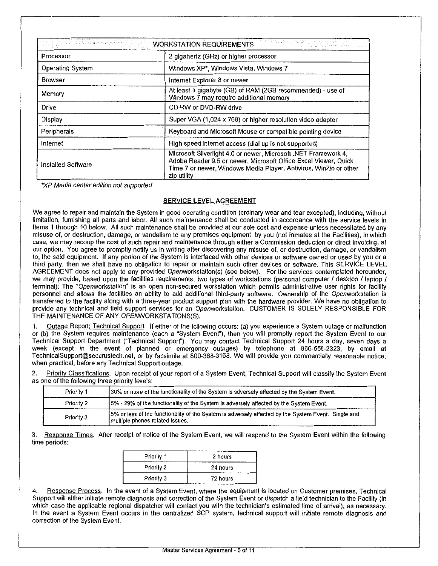| 487 : 122 X ISBN 999 999 999 999 999 999 999<br>WORKSTATION REQUIREMENTS AND RECEIVED AND RECEIVED AND RECEIVED AND RECEIVED AND RECEIVED AND RECEIVED AND REC |                                                                                                                                                                                                                        |  |
|----------------------------------------------------------------------------------------------------------------------------------------------------------------|------------------------------------------------------------------------------------------------------------------------------------------------------------------------------------------------------------------------|--|
| Processor                                                                                                                                                      | 2 gigahertz (GHz) or higher processor                                                                                                                                                                                  |  |
| <b>Operating System</b>                                                                                                                                        | Windows XP*, Windows Vista, Windows 7                                                                                                                                                                                  |  |
| Browser                                                                                                                                                        | Internet Explorer 8 or newer                                                                                                                                                                                           |  |
| Memory:                                                                                                                                                        | At least 1 gigabyte (GB) of RAM (2GB recommended) - use of<br>Windows 7 may require additional memory                                                                                                                  |  |
| <b>Drive</b>                                                                                                                                                   | CD-RW or DVD-RW drive                                                                                                                                                                                                  |  |
| Display                                                                                                                                                        | Super VGA (1,024 x 768) or higher resolution video adapter                                                                                                                                                             |  |
| Peripherals                                                                                                                                                    | Keyboard and Microsoft Mouse or compatible pointing device                                                                                                                                                             |  |
| Internet                                                                                                                                                       | High speed internet access (dial up is not supported)                                                                                                                                                                  |  |
| Installed Software                                                                                                                                             | Microsoft Silverlight 4.0 or newer, Microsoft .NET Framework 4,<br>Adobe Reader 9.5 or newer, Microsoft Office Excel Viewer, Quick<br>Time 7 or newer, Windows Media Player, Antivirus, WinZip or other<br>zip utility |  |

'XP Media center edition not supported

# **SERVICE LEVEL AGREEMENT**

We agree to repair and maintain the System in good operating condition (ordinary wear and tear excepted), including, without limitation, furnishing all parts and labor. All such maintenance shall be conducted in accordance with the service levels in Items 1 through 10 below. All such maintenance shall be provided at our sole cost and expense unless necessitated by any misuse of, or destruction, damage, or vandalism to any premises equipment by you (not inmates at the Facilities), in which case, we may recoup the cost of such repair and maintenance through either a Commission deduction or direct invoicing, at our option. You agree to promptly notify us in writing after discovering any misuse of, or destruction, damage, or vandalism to, the said equipment. If any portion of the System is interfaced with other devices or software owned or used by you or a third party, then we shall have no obligation to repair or maintain such other devices or software. This SERVICE LEVEL AGREEMENT does not apply to any provided Openworkstation(s) (see below). For the services contemplated hereunder, we may provide, based upon the facilities requirements, two types of workstations (personal computer / desktop / laptop / terminal): The "Openworkstation" is an open non-secured workstation which permits administrative user rights for facility personnel and allows the facilities an ability to add additional third-party software. Ownership of the Openworkstation is transferred to the facility along with a three-year product support plan with the hardware provider. We have no obligation to provide any technical and field support services for an Openworkstation. CUSTOMER IS SOLELY RESPONSIBLE FOR THE MAINTENANCE OF ANY OPENWORKSTATIONS(S).

**1.** Outage Report: Technical Support. If either of the following occurs: (a) you experience a System outage or malfunction or (b) the System requires maintenance (each a "System Event"), then you will promptly report the System Event to our Technical Support Department ("Technical Support"). You may contact Technical Support 24 hours a day, seven days a week (except in the event of planned or emergency outages) by telephone at 866-558-2323, by email at TechnicaiSupport@securustech.net, or by facsimile at 800-368-3168. We will provide you commercially reasonable notice, when practical, before any Technical Support outage.

2. Priority Classifications. Upon receipt of your report of a System Event, Technical Support will classify the System Event as one of the following three priority levels·

| Priority 1 | 130% or more of the functionality of the System is adversely affected by the System Event.                                              |
|------------|-----------------------------------------------------------------------------------------------------------------------------------------|
| Priority 2 | 15% - 29% of the functionality of the System is adversely affected by the System Event.                                                 |
| Priority 3 | 15% or less of the functionality of the System is adversely affected by the System Event. Single and<br>multiple phones related issues. |

3. Response Times. After receipt of notice of the System Event, we will respond to the System Event within the following time periods:

| Priority 1 | 2 hours  |
|------------|----------|
| Priority 2 | 24 hours |
| Priority 3 | 72 hours |

4. Response Process. In the event of a System Event, where the equipment is located on Customer premises, Technical Support will either initiate remote diagnosis and correction of the System Event or dispatch a field technician to the Facility (in which case the applicable regional dispatcher will contact you with the technician's estimated time of arrival), as necessary. In the event a System Event occurs in the centralized SCP system, technical support will initiate remote diagnosis and correction of the System Event.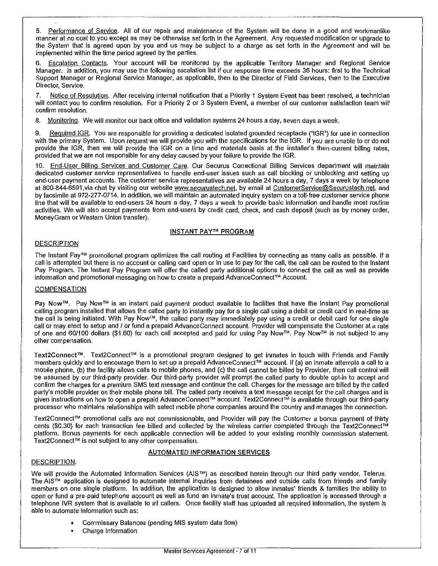5. Performance of Service. All of our repair and maintenance of the System will be done in a good and workmanlike manner at no cost to you except as may be otherwise set forth in the Agreement. Any requested modification or upgrade to the System that is agreed upon by you and us may be subject to a charge as set forth in the Agreement and will be implemented within the time period agreed by the parties.

6. Escalation Contacts. Your account will be monitored by the applicable Territory Manager and Regional Service Manager. In addition, you may use the following escalation list if our response time exceeds 36 hours: first to the Technical Support Manager or Regional Service Manager, as applicable, then to the Director of Field Services, then to the Executive Director, Service.

7. Notice of Resolution. After receiving internal notification that a Priority 1 System Event has been resolved, a technician will contact you to confirm resolution. For a Priority 2 or 3 System Event, a member of our customer satisfaction team will confirm resolution.

8. Monitoring. We will monitor our back office and validation systems 24 hours a day, seven days a week.

9. Required IGR. You are responsible for providing a dedicated isolated grounded receptacle ("IGR") for use in connection with the primary System. Upon request we will provide you with the specifications for the IGR. If you are unable to or do not provide the IGR, then we will provide the IGR on a time and materials basis at the installer's then-current billing rates. provided that we are not responsible for any delay caused by your failure to provide the IGR.

10. End-User Billing Services and Customer Care. Our Securus Correctional Billing Services department will maintain dedicated customer service representatives to handle end-user issues such as call blocking or unblocking and setting up end-user payment accounts. The customer service representatives are available 24 hours a day, 7 days a week by telephone at 800-844-6591, via chat by visiting our website www.securustech.net, by email at CustomerService@Securustech.net, and by facsimile at 972-277-0714. In addition, we will maintain an automated inquiry system on a toll-free customer service phone line that will be available to end-users 24 hours a day, 7 days a week to provide basic information and handle most routine activities. We will also accept payments from end-users by credit card, check, and cash deposit (such as by money order, MoneyGram or Western Union transfer).

#### INSTANT PAY'" PROGRAM

#### **DESCRIPTION**

The Instant Pay'" promotional program optimizes the call routing at Facilities by connecting as many calls as possible. If a call is attempted but there is no account or calling card open or in use to pay for the call, the call can be routed to the Instant Pay Program. The Instant Pay Program will offer the called party additional options to connect the call as well as provide information and promotional messaging on how to create a prepaid AdvanceConnect<sup>TM</sup> Account.

#### COMPENSATION

Pay Now™. Pay Now<sup>™</sup> is an instant paid payment product available to facilities that have the Instant Pay promotional calling program installed that allows the called party to instantly pay for a single call using a debit or credit card in real-time as the call is being initiated. With Pay Now'", the called party may immediately pay using a credit or debit card for one single call or may elect to setup and / or fund a prepaid AdvanceConnect account. Provider will compensate the Customer at a rate of one and 60/100 dollars (\$1.60) for each call accepted and paid for using Pay Now™. Pay Now™ is not subject to any other compensation.

Text2Connect™. Text2Connect™ is a promotional program designed to get inmates in touch with Friends and Family members quickly and to encourage them to set up a prepaid AdvanceConnect<sup>TM</sup> account. If (a) an inmate attempts a call to a mobile phone, (b) the facility allows calls to mobile phones, and (c) the call cannot be billed by Provider, then call control will be assumed by our third-party provider. Our third-party provider will prompt the called party to double opt-in to accept and confirm the charges for a premium SMS text message and continue the call. Charges for the message are billed by the called party's mobile provider on their mobile phone bill. The called party receives a text message receipt for the call charges and is given instructions on how to open a prepaid AdvanceConnect™ account. Text2Connect™ is available through our third-party processor who maintains relationships with select mobile phone companies around the country and manages the connection.

Text2Connect™ promotional calls are not commissionable, and Provider will pay the Customer a bonus payment of thirty cents (\$0.30) for each transaction fee billed and collected by the wireless carrier completed through the Text2Connect<sup>TM</sup> platform. Bonus payments for each applicable connection will be added to your existing monthly commission statement. Text2Connect™ is not subject to any other compensation.

## AUTOMATED INFORMATION SERVICES

#### DESCRIPTION.

We will provide the Automated Information Services (AIS<sup>TM</sup>) as described herein through our third party vendor, Telerus. The AIS<sup>TM</sup> application is designed to automate internal inquiries from detainees and outside calls from friends and family members on one single platform. In addition, the application is designed to allow inmates' friends & families the ability to open or fund a pre-paid telephone account as well as fund an inmate's trust account. The application is accessed through a telephone IVR system that is available to all callers. Once facility staff has uploaded all required information, the system is able to automate information such as:

- **o** Commissary Balances (pending MIS system data flow)
- **o** Charge Information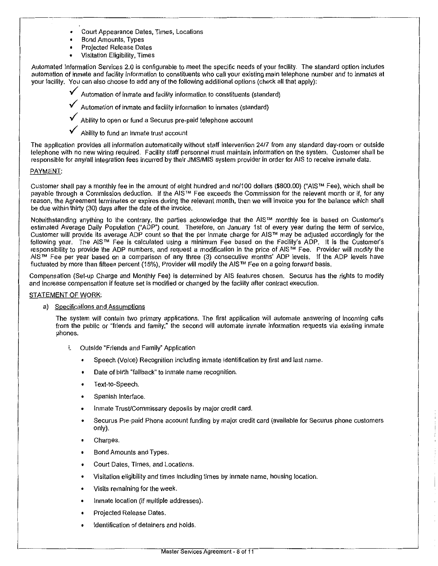- Court Appearance Dates, Times, Locations
- Bond Amounts, Types
- Projected Release Dates
- Visitation Eligibility, Times

Automated Information Services 2.0 is configurable to meet the specific needs of your facility. The standard option includes automation of inmate and facility information to constituents who call your existing main telephone number and to inmates at your facility. You can also choose to add any of the following additional options (check all that apply):

- Automation of inmate and facility information to constituents (standard)
- Automation of inmate and facility information to inmates (standard)
- Ability to open or fund a Securus pre-paid telephone account
- Ability to fund an inmate trust account

The application provides all information automatically without staff intervention 2417 from any standard day-room or outside telephone with no new wiring required. Facility staff personnel must maintain information on the system. Customer shall be responsible for any/all integration fees incurred by their JMS/MIS system provider in order for AIS to receive inmate data.

#### PAYMENT:

Customer shall pay a monthly fee in the amount of eight hundred and no/100 dollars (\$800.00) ("AISTM Fee), which shall be payable through a Commission deduction. If the AIS<sup>™</sup> Fee exceeds the Commission for the relevant month or if, for any reason, the Agreement terminates or expires during the relevant month, then we will invoice you for the balance which shall be due within thirty (30) days after the date of the invoice.

Notwithstanding anything to the contrary, the parties acknowledge that the AIS'M monthly fee is based on Customer's estimated Average Daily Population ("ADP") count. Therefore, on January 1st of every year during the term of service, Customer will provide its average ADP count so that the per inmate charge for AIS'M may be adjusted accordingly for the following year. The AIS'M Fee is calculated using a minimum Fee based on the Facility's ADP. It is the Customer's responsibility to provide the ADP numbers, and request a modification in the price of AIS'M Fee. Provider will modify the AIS'M Fee per year based on a comparison of any three (3) consecutive months' ADP levels. If the ADP levels have fluctuated by more than fifteen percent (15%), Provider will modify the AIS™ Fee on a going forward basis.

Compensation (Set-up Charge and Monthly Fee) is determined by AIS features chosen. Securus has the rights to modify and increase compensation if feature set is modified or changed by the facility after contract execution.

#### STATEMENT OF WORK:

a) Specifications and Assumptions

The system will contain two primary applications. The first application will automate answering of incoming calls from the public or "friends and family;" the second will automate inmate information requests via existing inmate phones.

- i. Outside "Friends and Family" Application
	- Speech (Voice) Recognition including inmate identification by first and last name.
	- Date of birth "fallback" to inmate name recognition.
	- Text-to-Speech.
	- Spanish Interface.
	- Inmate Trust/Commissary deposits by major credit card.
	- Securus Pre-paid Phone account funding by major credit card (available for Securus phone customers only).
	- Charges.
	- Bond Amounts and Types.
	- Court Dates, Times, and Locations.
	- Visitation eligibility and times including times by inmate name, housing location.
	- Visits remaining for the week.
	- Inmate location (if multiple addresses).
	- Projected Release Dates.
	- Identification of detainers and holds.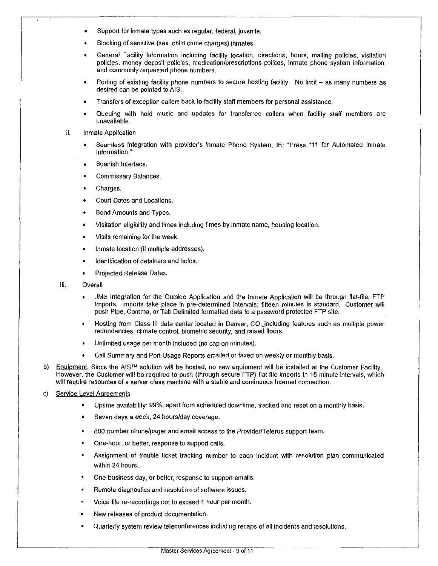- Support for inmate types such as regular, federal, juvenile.
- Blocking of sensitive (sex, child crime charges) inmates.
- General Facility Information including facility location, directions, hours, mailing policies, visitation policies, money deposit policies, medication/prescriptions polices, inmate phone system information, and commonly requested phone numbers.
- Porting of existing facility phone numbers to secure hosting facility. No limit as many numbers as desired can be pointed to AIS.
- Transfers of exception callers back to facility staff members for personal assistance.
- Queuing with hold music and updates for transferred callers when facility staff members are unavailable.
- ii. Inmate Application
	- Seamless integration with provider's Inmate Phone System, IE: "Press \*11 for Automated Inmate Information."
	- Spanish Interface.
	- **Commissary Balances.**
	- Charges.
	- Court Dates and Locations.
	- Bond Amounts and Types.
	- Visitation eligibility and times including times by inmate name, housing location.
	- Visits remaining for the week.
	- Inmate location (if multiple addresses).
	- Identification of detainers and holds.
	- Projected Release Dates.
- iii. Overall
	- JMS integration for the Outside Application and the Inmate Application will be through flat-file, FTP imports. Imports take place in pre-determined intervals; fifteen minutes is standard. Customer will push Pipe, Comma, or Tab Delimited formatted data to a password protected FTP site.
	- Hosting from Class Ill data center located in Denver, CO,\_including features such as multiple power redundancies, climate control, biometric security, and raised floors.
	- Unlimited usage per month included (no cap on minutes).
	- Galt Summary and Port Usage Reports emailed or faxed on weekly or monthly basis.
- b) Equipment. Since the AIS<sup>TM</sup> solution will be hosted, no new equipment will be installed at the Customer Facility. However, the Customer will be required to push (through secure FTP) flat file imports in 15 minute intervals, which will require resources of a server class machine with a stable and continuous Internet connection.
- c) Service Level Agreements
	- Uptime availability: 99%, apart from scheduled downtime, tracked and reset on a monthly basis.
	- Seven days a week, 24 hours/day coverage.
	- 800-number phone/pager and email access to the Provider/Telerus support team.
	- One-hour, or better, response to support calls.  $\blacksquare$
	- Assignment of trouble ticket tracking number to each incident with resolution plan communicated within 24 hours.
	- One-business day, or better, response to support emails.
	- Remote diagnostics and resolution of software issues.
	- Voice file re-recordings not to exceed 1 hour per month.
	- New releases of product documentation.
	- Quarterly system review teleconferences including recaps of all incidents and resolutions.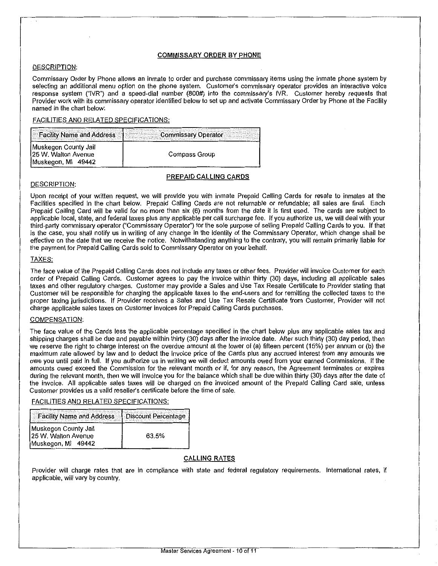#### COMMISSARY ORDER BY PHONE

#### DESCRIPTION:

Commissary Order by Phone allows an inmate to order and purchase commissary items using the inmate phone system by selecting an additional menu option on the phone system. Customer's commissary operator provides an interactive voice response system ("IVR") and a speed-dial number (800#) into the commissary's IVR. Customer hereby requests that Provider work with its commissary operator identified below to set up and activate Commissary Order by Phone at the Facility named in the chart below:

#### FACILITIES AND RELATED SPECIFICATIONS·

| Facility Name and Address                                             | <b>Commissary Operator</b> |
|-----------------------------------------------------------------------|----------------------------|
| Muskegon County Jail<br>125 W. Walton Avenue<br>Muskegon, MI<br>49442 | Compass Group              |

# PREPAID CALLING CARDS

#### DESCRIPTION:

Upon receipt of your written request, we will provide you with inmate Prepaid Calling Cards for resale to inmates at the Facilities specified in the chart below. Prepaid Calling Cards are not returnable or refundable; all sales are final. Each Prepaid Calling Card will be valid for no more than six (6) months from the date it is first used. The cards are subject to applicable local, state, and federal taxes plus any applicable per call surcharge fee. If you authorize us, we will deal with your third-party commissary operator ("Commissary Operator") for the sole purpose of selling Prepaid Calling Cards to you. If that is the case, you shall notify us in writing of any change in the identity of the Commissary Operator, which change shall be effective on the date that we receive the notice. Notwithstanding anything to the contrary, you will remain primarily liable for the payment for Prepaid Calling Cards sold to Commissary Operator on your behalf.

#### TAXES:

The face value of the Prepaid Calling Cards does not include any taxes or other fees. Provider will invoice Customer for each order of Prepaid Calling Cards. Customer agrees to pay the invoice within thirty (30) days, including all applicable sales taxes and other regulatory charges. Customer may provide a Sales and Use Tax Resale Certificate to Provider stating that Customer will be responsible for charging the applicable taxes to the end-users and for remitting the collected taxes to the proper taxing jurisdictions. If Provider receives a Sales and Use Tax Resale Certificate from Customer, Provider will not charge applicable sales taxes on Customer invoices for Prepaid Calling Cards purchases.

#### COMPENSATION:

The face value of the Cards less the applicable percentage specified in the chart below plus any applicable sales tax and shipping charges shall be due and payable within thirty (30) days after the invoice dale. After such thirty (30) day period, then we reserve the right to charge interest on the overdue amount at the lower of (a) fifteen percent (15%) per annum or (b) the maximum rate allowed by law and to deduct the invoice price of the Cards plus any accrued interest from any amounts we owe you until paid in full. If you authorize us in writing we will deduct amounts owed from your earned Commissions. If the amounts owed exceed the Commission for the relevant month or if, for any reason, the Agreement terminates or expires during the relevant month, then we will invoice you for the balance which shall be due within thirty (30) days after the date of the invoice. All applicable sales taxes will be charged on the invoiced amount of the Prepaid Calling Card sale, unless Customer provides us a valid reseller's certificate before the time of sale.

# FACILITIES AND RELATED SPECIFICATIONS:

| Facility Name and Address                                         | <b>Discount Percentage</b> |
|-------------------------------------------------------------------|----------------------------|
| Muskegon County Jail<br>25 W. Walton Avenue<br>Muskegon, MI 49442 | 63.5%                      |

#### CALLING RATES

Provider will charge rates that are in compliance with state and federal regulatory requirements. International rates, if applicable, will vary by country.